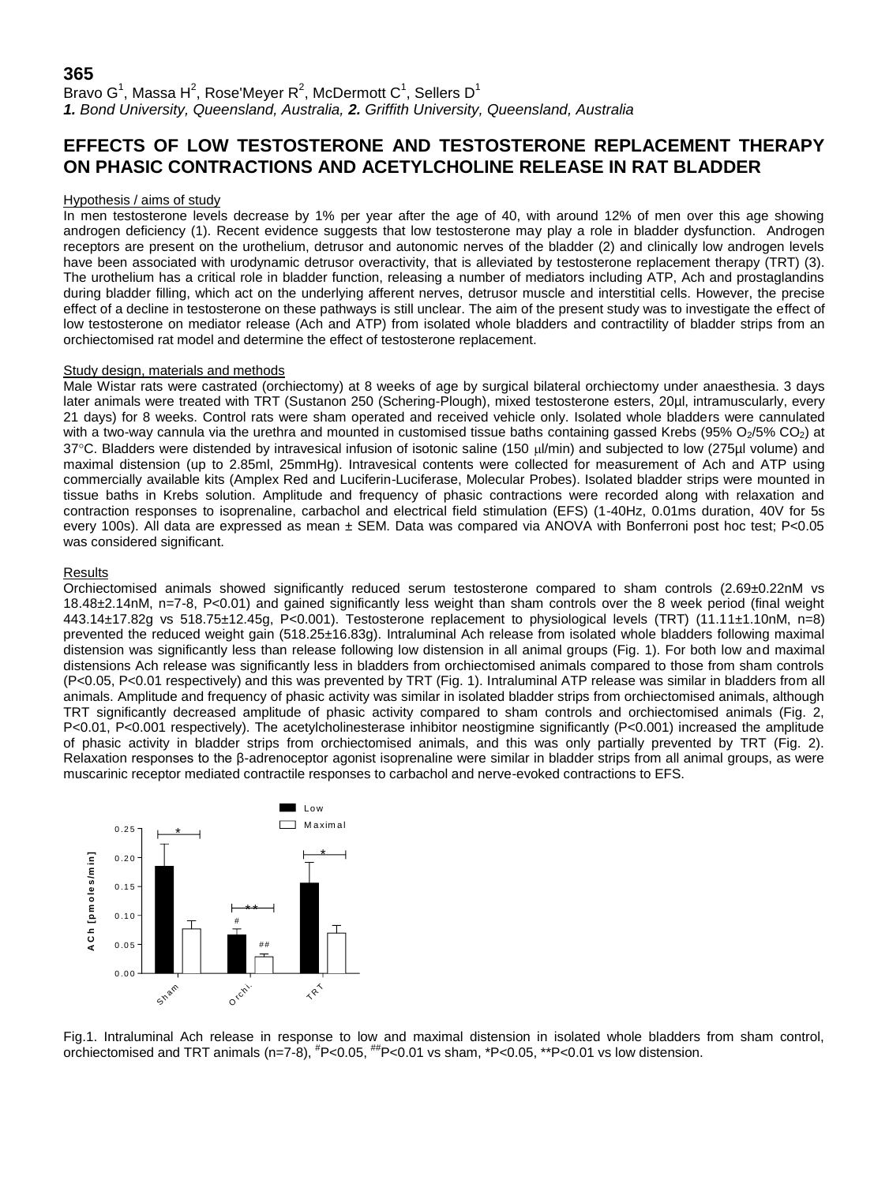# **365**

Bravo G $^1$ , Massa H $^2$ , Rose'Meyer R $^2$ , McDermott C $^1$ , Sellers D $^1$ *1. Bond University, Queensland, Australia, 2. Griffith University, Queensland, Australia*

# **EFFECTS OF LOW TESTOSTERONE AND TESTOSTERONE REPLACEMENT THERAPY ON PHASIC CONTRACTIONS AND ACETYLCHOLINE RELEASE IN RAT BLADDER**

## Hypothesis / aims of study

In men testosterone levels decrease by 1% per year after the age of 40, with around 12% of men over this age showing androgen deficiency (1). Recent evidence suggests that low testosterone may play a role in bladder dysfunction. Androgen receptors are present on the urothelium, detrusor and autonomic nerves of the bladder (2) and clinically low androgen levels have been associated with urodynamic detrusor overactivity, that is alleviated by testosterone replacement therapy (TRT) (3). The urothelium has a critical role in bladder function, releasing a number of mediators including ATP, Ach and prostaglandins during bladder filling, which act on the underlying afferent nerves, detrusor muscle and interstitial cells. However, the precise effect of a decline in testosterone on these pathways is still unclear. The aim of the present study was to investigate the effect of low testosterone on mediator release (Ach and ATP) from isolated whole bladders and contractility of bladder strips from an orchiectomised rat model and determine the effect of testosterone replacement.

## Study design, materials and methods

Male Wistar rats were castrated (orchiectomy) at 8 weeks of age by surgical bilateral orchiectomy under anaesthesia. 3 days later animals were treated with TRT (Sustanon 250 (Schering-Plough), mixed testosterone esters, 20µl, intramuscularly, every 21 days) for 8 weeks. Control rats were sham operated and received vehicle only. Isolated whole bladders were cannulated with a two-way cannula via the urethra and mounted in customised tissue baths containing gassed Krebs (95%  $O_2/5\%$  CO<sub>2</sub>) at 37°C. Bladders were distended by intravesical infusion of isotonic saline (150 µl/min) and subjected to low (275µl volume) and maximal distension (up to 2.85ml, 25mmHg). Intravesical contents were collected for measurement of Ach and ATP using commercially available kits (Amplex Red and Luciferin-Luciferase, Molecular Probes). Isolated bladder strips were mounted in tissue baths in Krebs solution. Amplitude and frequency of phasic contractions were recorded along with relaxation and contraction responses to isoprenaline, carbachol and electrical field stimulation (EFS) (1-40Hz, 0.01ms duration, 40V for 5s every 100s). All data are expressed as mean ± SEM. Data was compared via ANOVA with Bonferroni post hoc test; P<0.05 was considered significant.

## Results

Orchiectomised animals showed significantly reduced serum testosterone compared to sham controls (2.69±0.22nM vs 18.48±2.14nM, n=7-8, P<0.01) and gained significantly less weight than sham controls over the 8 week period (final weight 443.14±17.82g vs 518.75±12.45g, P<0.001). Testosterone replacement to physiological levels (TRT) (11.11±1.10nM, n=8) prevented the reduced weight gain (518.25±16.83g). Intraluminal Ach release from isolated whole bladders following maximal distension was significantly less than release following low distension in all animal groups (Fig. 1). For both low and maximal distensions Ach release was significantly less in bladders from orchiectomised animals compared to those from sham controls (P<0.05, P<0.01 respectively) and this was prevented by TRT (Fig. 1). Intraluminal ATP release was similar in bladders from all animals. Amplitude and frequency of phasic activity was similar in isolated bladder strips from orchiectomised animals, although TRT significantly decreased amplitude of phasic activity compared to sham controls and orchiectomised animals (Fig. 2, P<0.01, P<0.001 respectively). The acetylcholinesterase inhibitor neostigmine significantly (P<0.001) increased the amplitude of phasic activity in bladder strips from orchiectomised animals, and this was only partially prevented by TRT (Fig. 2). Relaxation responses to the β-adrenoceptor agonist isoprenaline were similar in bladder strips from all animal groups, as were muscarinic receptor mediated contractile responses to carbachol and nerve-evoked contractions to EFS.



Fig.1. Intraluminal Ach release in response to low and maximal distension in isolated whole bladders from sham control, orchiectomised and TRT animals (n=7-8),  $^{#}P<0.05$ ,  $^{#}P<0.01$  vs sham, \*P<0.05, \*\*P<0.01 vs low distension.